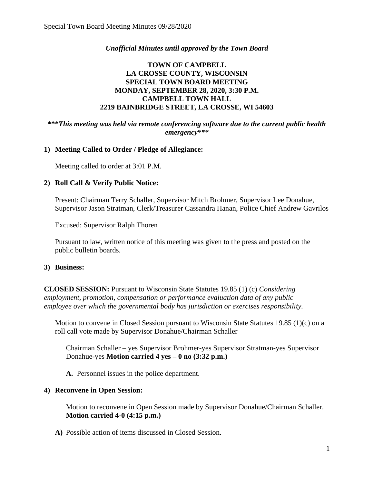## *Unofficial Minutes until approved by the Town Board*

## **TOWN OF CAMPBELL LA CROSSE COUNTY, WISCONSIN SPECIAL TOWN BOARD MEETING MONDAY, SEPTEMBER 28, 2020, 3:30 P.M. CAMPBELL TOWN HALL 2219 BAINBRIDGE STREET, LA CROSSE, WI 54603**

#### **\*\*\****This meeting was held via remote conferencing software due to the current public health emergency\*\*\**

## **1) Meeting Called to Order / Pledge of Allegiance:**

Meeting called to order at 3:01 P.M.

## **2) Roll Call & Verify Public Notice:**

Present: Chairman Terry Schaller, Supervisor Mitch Brohmer, Supervisor Lee Donahue, Supervisor Jason Stratman, Clerk/Treasurer Cassandra Hanan, Police Chief Andrew Gavrilos

Excused: Supervisor Ralph Thoren

Pursuant to law, written notice of this meeting was given to the press and posted on the public bulletin boards.

#### **3) Business:**

**CLOSED SESSION:** Pursuant to Wisconsin State Statutes 19.85 (1) (c) *Considering employment, promotion, compensation or performance evaluation data of any public employee over which the governmental body has jurisdiction or exercises responsibility.*

Motion to convene in Closed Session pursuant to Wisconsin State Statutes 19.85 (1)(c) on a roll call vote made by Supervisor Donahue/Chairman Schaller

Chairman Schaller – yes Supervisor Brohmer-yes Supervisor Stratman-yes Supervisor Donahue-yes **Motion carried 4 yes – 0 no (3:32 p.m.)**

**A.** Personnel issues in the police department.

#### **4) Reconvene in Open Session:**

Motion to reconvene in Open Session made by Supervisor Donahue/Chairman Schaller. **Motion carried 4-0 (4:15 p.m.)**

**A)** Possible action of items discussed in Closed Session.